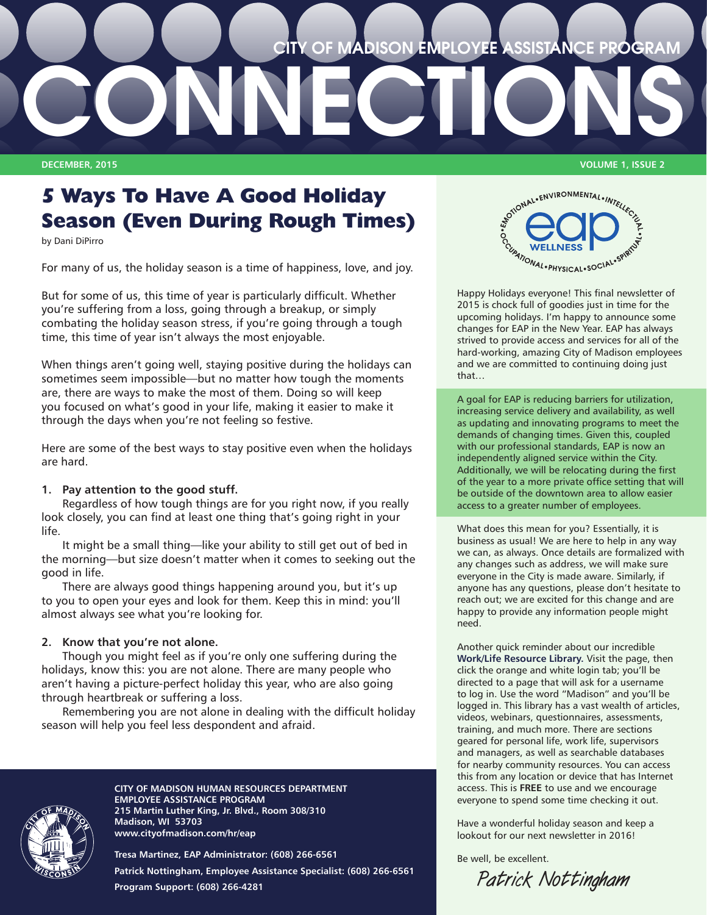

# **5 Ways To Have A Good Holiday Season (Even During Rough Times)**

by Dani DiPirro

For many of us, the holiday season is a time of happiness, love, and joy.

But for some of us, this time of year is particularly difficult. Whether you're suffering from a loss, going through a breakup, or simply combating the holiday season stress, if you're going through a tough time, this time of year isn't always the most enjoyable.

When things aren't going well, staying positive during the holidays can sometimes seem impossible—but no matter how tough the moments are, there are ways to make the most of them. Doing so will keep you focused on what's good in your life, making it easier to make it through the days when you're not feeling so festive.

Here are some of the best ways to stay positive even when the holidays are hard.

### **1. Pay attention to the good stuff.**

Regardless of how tough things are for you right now, if you really look closely, you can find at least one thing that's going right in your life.

It might be a small thing—like your ability to still get out of bed in the morning—but size doesn't matter when it comes to seeking out the good in life.

There are always good things happening around you, but it's up to you to open your eyes and look for them. Keep this in mind: you'll almost always see what you're looking for.

#### **2. Know that you're not alone.**

Though you might feel as if you're only one suffering during the holidays, know this: you are not alone. There are many people who aren't having a picture-perfect holiday this year, who are also going through heartbreak or suffering a loss.

Remembering you are not alone in dealing with the difficult holiday season will help you feel less despondent and afraid.



**CITY OF MADISON HUMAN RESOURCES DEPARTMENT EMPLOYEE ASSISTANCE PROGRAM 215 Martin Luther King, Jr. Blvd., Room 308/310 Madison, WI 53703**

**www.cityofmadison.com/hr/eap**

**Tresa Martinez, EAP Administrator: (608) 266-6561 Patrick Nottingham, Employee Assistance Specialist: (608) 266-6561 Program Support: (608) 266-4281**

WONAL-ENVIRONMENTAL-INTELLECTE OCUMATIONAL . PHYSICAL . SOCIAL . SPIRE

Happy Holidays everyone! This final newsletter of 2015 is chock full of goodies just in time for the upcoming holidays. I'm happy to announce some changes for EAP in the New Year. EAP has always strived to provide access and services for all of the hard-working, amazing City of Madison employees and we are committed to continuing doing just that…

A goal for EAP is reducing barriers for utilization, increasing service delivery and availability, as well as updating and innovating programs to meet the demands of changing times. Given this, coupled with our professional standards, EAP is now an independently aligned service within the City. Additionally, we will be relocating during the first of the year to a more private office setting that will be outside of the downtown area to allow easier access to a greater number of employees.

What does this mean for you? Essentially, it is business as usual! We are here to help in any way we can, as always. Once details are formalized with any changes such as address, we will make sure everyone in the City is made aware. Similarly, if anyone has any questions, please don't hesitate to reach out; we are excited for this change and are happy to provide any information people might need.

Another quick reminder about our incredible **[Work/Life Resource Library](http://www.impactinc.org/employee-assistance-program).** Visit the page, then click the orange and white login tab; you'll be directed to a page that will ask for a username to log in. Use the word "Madison" and you'll be logged in. This library has a vast wealth of articles, videos, webinars, questionnaires, assessments, training, and much more. There are sections geared for personal life, work life, supervisors and managers, as well as searchable databases for nearby community resources. You can access this from any location or device that has Internet access. This is **FREE** to use and we encourage everyone to spend some time checking it out.

Have a wonderful holiday season and keep a lookout for our next newsletter in 2016!

Be well, be excellent.

**Patrick Nottingham**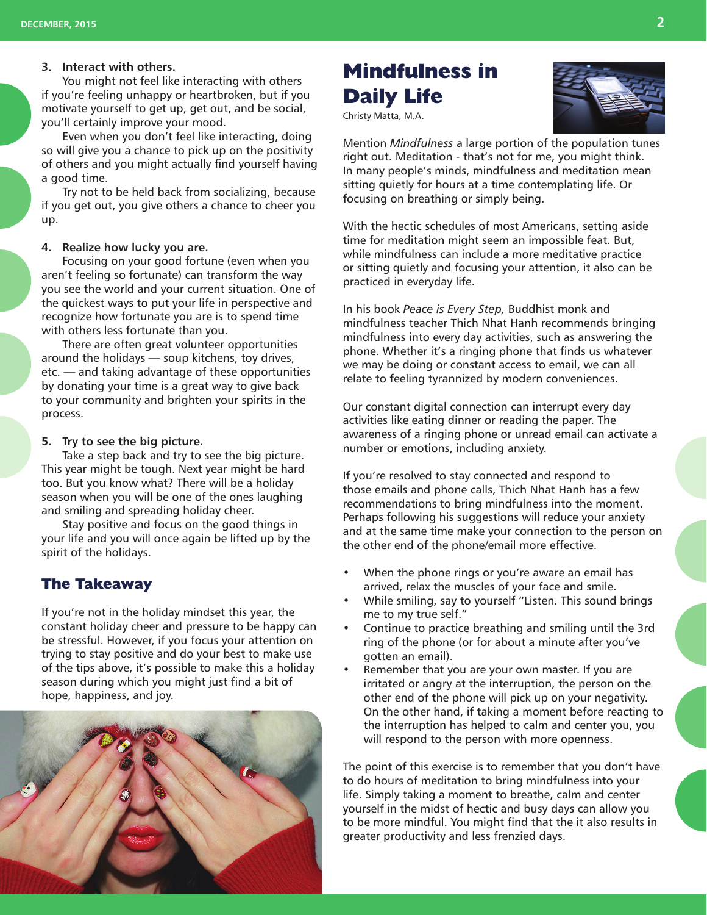#### **3. Interact with others.**

You might not feel like interacting with others if you're feeling unhappy or heartbroken, but if you motivate yourself to get up, get out, and be social, you'll certainly improve your mood.

Even when you don't feel like interacting, doing so will give you a chance to pick up on the positivity of others and you might actually find yourself having a good time.

Try not to be held back from socializing, because if you get out, you give others a chance to cheer you up.

#### **4. Realize how lucky you are.**

Focusing on your good fortune (even when you aren't feeling so fortunate) can transform the way you see the world and your current situation. One of the quickest ways to put your life in perspective and recognize how fortunate you are is to spend time with others less fortunate than you.

There are often great volunteer opportunities around the holidays — soup kitchens, toy drives, etc. — and taking advantage of these opportunities by donating your time is a great way to give back to your community and brighten your spirits in the process.

#### **5. Try to see the big picture.**

Take a step back and try to see the big picture. This year might be tough. Next year might be hard too. But you know what? There will be a holiday season when you will be one of the ones laughing and smiling and spreading holiday cheer.

Stay positive and focus on the good things in your life and you will once again be lifted up by the spirit of the holidays.

### **The Takeaway**

If you're not in the holiday mindset this year, the constant holiday cheer and pressure to be happy can be stressful. However, if you focus your attention on trying to stay positive and do your best to make use of the tips above, it's possible to make this a holiday season during which you might just find a bit of hope, happiness, and joy.



# **Mindfulness in Daily Life**



Christy Matta, M.A.

Mention *Mindfulness* a large portion of the population tunes right out. Meditation - that's not for me, you might think. In many people's minds, mindfulness and meditation mean sitting quietly for hours at a time contemplating life. Or focusing on breathing or simply being.

With the hectic schedules of most Americans, setting aside time for meditation might seem an impossible feat. But, while mindfulness can include a more meditative practice or sitting quietly and focusing your attention, it also can be practiced in everyday life.

In his book *Peace is Every Step,* Buddhist monk and mindfulness teacher Thich Nhat Hanh recommends bringing mindfulness into every day activities, such as answering the phone. Whether it's a ringing phone that finds us whatever we may be doing or constant access to email, we can all relate to feeling tyrannized by modern conveniences.

Our constant digital connection can interrupt every day activities like eating dinner or reading the paper. The awareness of a ringing phone or unread email can activate a number or emotions, including anxiety.

If you're resolved to stay connected and respond to those emails and phone calls, Thich Nhat Hanh has a few recommendations to bring mindfulness into the moment. Perhaps following his suggestions will reduce your anxiety and at the same time make your connection to the person on the other end of the phone/email more effective.

- When the phone rings or you're aware an email has arrived, relax the muscles of your face and smile.
- While smiling, say to yourself "Listen. This sound brings me to my true self."
- Continue to practice breathing and smiling until the 3rd ring of the phone (or for about a minute after you've gotten an email).
- Remember that you are your own master. If you are irritated or angry at the interruption, the person on the other end of the phone will pick up on your negativity. On the other hand, if taking a moment before reacting to the interruption has helped to calm and center you, you will respond to the person with more openness.

The point of this exercise is to remember that you don't have to do hours of meditation to bring mindfulness into your life. Simply taking a moment to breathe, calm and center yourself in the midst of hectic and busy days can allow you to be more mindful. You might find that the it also results in greater productivity and less frenzied days.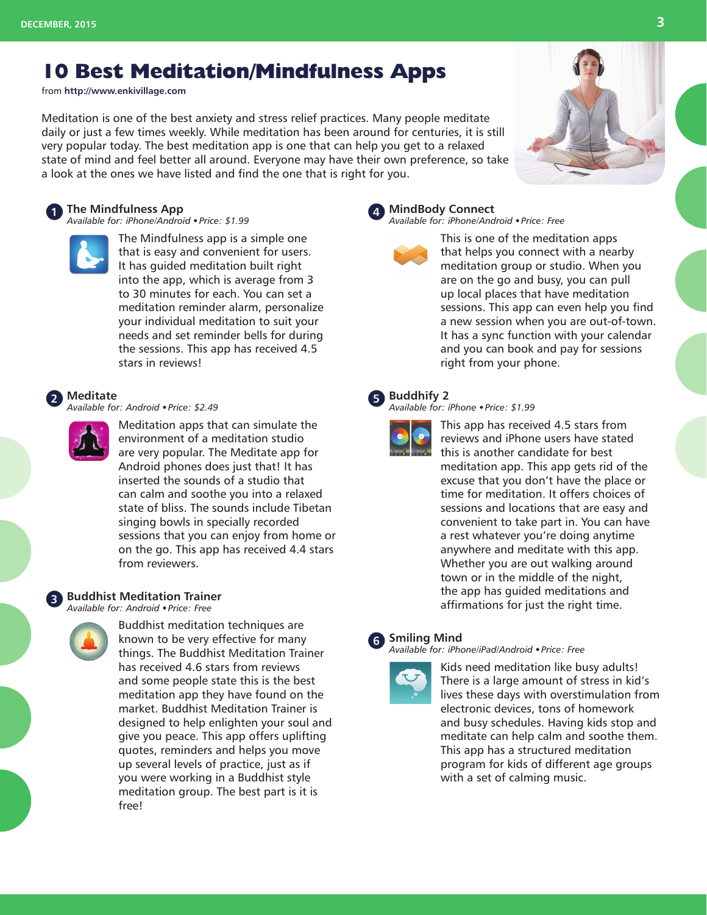# **10 Best Meditation/Mindfulness Apps**

from **http://www.enkivillage.com**

Meditation is one of the best anxiety and stress relief practices. Many people meditate daily or just a few times weekly. While meditation has been around for centuries, it is still very popular today. The best meditation app is one that can help you get to a relaxed state of mind and feel better all around. Everyone may have their own preference, so take a look at the ones we have listed and find the one that is right for you.

#### **1 The Mindfulness App**

*Available for: iPhone/Android • Price: \$1.99*



The Mindfulness app is a simple one that is easy and convenient for users. It has guided meditation built right into the app, which is average from 3 to 30 minutes for each. You can set a meditation reminder alarm, personalize your individual meditation to suit your needs and set reminder bells for during the sessions. This app has received 4.5 stars in reviews!

## **2 Meditate**

*Available for: Android • Price: \$2.49*



Meditation apps that can simulate the environment of a meditation studio are very popular. The Meditate app for Android phones does just that! It has inserted the sounds of a studio that can calm and soothe you into a relaxed state of bliss. The sounds include Tibetan singing bowls in specially recorded sessions that you can enjoy from home or on the go. This app has received 4.4 stars from reviewers.

## **3 Buddhist Meditation Trainer**

*Available for: Android • Price: Free*



Buddhist meditation techniques are known to be very effective for many things. The Buddhist Meditation Trainer has received 4.6 stars from reviews and some people state this is the best meditation app they have found on the market. Buddhist Meditation Trainer is designed to help enlighten your soul and give you peace. This app offers uplifting quotes, reminders and helps you move up several levels of practice, just as if you were working in a Buddhist style meditation group. The best part is it is free!

#### **4 MindBody Connect**

*Available for: iPhone/Android • Price: Free*

This is one of the meditation apps that helps you connect with a nearby meditation group or studio. When you are on the go and busy, you can pull up local places that have meditation sessions. This app can even help you find a new session when you are out-of-town. It has a sync function with your calendar and you can book and pay for sessions right from your phone.

### **5 Buddhify 2**



*Available for: iPhone • Price: \$1.99*

This app has received 4.5 stars from reviews and iPhone users have stated this is another candidate for best meditation app. This app gets rid of the excuse that you don't have the place or time for meditation. It offers choices of sessions and locations that are easy and convenient to take part in. You can have a rest whatever you're doing anytime anywhere and meditate with this app. Whether you are out walking around town or in the middle of the night, the app has guided meditations and affirmations for just the right time.

## **6 Smiling Mind**

*Available for: iPhone/iPad/Android • Price: Free*



Kids need meditation like busy adults! There is a large amount of stress in kid's lives these days with overstimulation from electronic devices, tons of homework and busy schedules. Having kids stop and meditate can help calm and soothe them. This app has a structured meditation program for kids of different age groups with a set of calming music.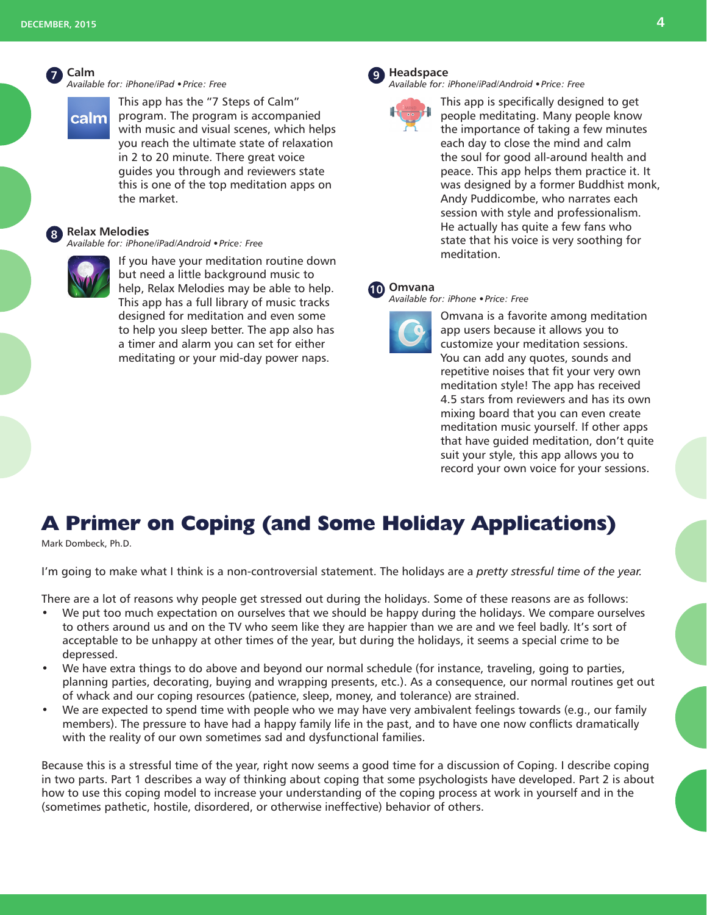#### **7 Calm** *Available for: iPhone/iPad • Price: Free*

This app has the "7 Steps of Calm" program. The program is accompanied with music and visual scenes, which helps you reach the ultimate state of relaxation in 2 to 20 minute. There great voice guides you through and reviewers state this is one of the top meditation apps on the market.

#### **8 Relax Melodies**

*Available for: iPhone/iPad/Android • Price: Free*



**calm** 

If you have your meditation routine down but need a little background music to help, Relax Melodies may be able to help. This app has a full library of music tracks designed for meditation and even some to help you sleep better. The app also has a timer and alarm you can set for either meditating or your mid-day power naps.

### **9 Headspace**

*Available for: iPhone/iPad/Android • Price: Free*



This app is specifically designed to get people meditating. Many people know the importance of taking a few minutes each day to close the mind and calm the soul for good all-around health and peace. This app helps them practice it. It was designed by a former Buddhist monk, Andy Puddicombe, who narrates each session with style and professionalism. He actually has quite a few fans who state that his voice is very soothing for meditation.

## **10 Omvana**

*Available for: iPhone • Price: Free*



Omvana is a favorite among meditation app users because it allows you to customize your meditation sessions. You can add any quotes, sounds and repetitive noises that fit your very own meditation style! The app has received 4.5 stars from reviewers and has its own mixing board that you can even create meditation music yourself. If other apps that have guided meditation, don't quite suit your style, this app allows you to record your own voice for your sessions.

# **A Primer on Coping (and Some Holiday Applications)**

Mark Dombeck, Ph.D.

I'm going to make what I think is a non-controversial statement. The holidays are a *pretty stressful time of the year.*

There are a lot of reasons why people get stressed out during the holidays. Some of these reasons are as follows:

- We put too much expectation on ourselves that we should be happy during the holidays. We compare ourselves to others around us and on the TV who seem like they are happier than we are and we feel badly. It's sort of acceptable to be unhappy at other times of the year, but during the holidays, it seems a special crime to be depressed.
- We have extra things to do above and beyond our normal schedule (for instance, traveling, going to parties, planning parties, decorating, buying and wrapping presents, etc.). As a consequence, our normal routines get out of whack and our coping resources (patience, sleep, money, and tolerance) are strained.
- We are expected to spend time with people who we may have very ambivalent feelings towards (e.g., our family members). The pressure to have had a happy family life in the past, and to have one now conflicts dramatically with the reality of our own sometimes sad and dysfunctional families.

Because this is a stressful time of the year, right now seems a good time for a discussion of Coping. I describe coping in two parts. Part 1 describes a way of thinking about coping that some psychologists have developed. Part 2 is about how to use this coping model to increase your understanding of the coping process at work in yourself and in the (sometimes pathetic, hostile, disordered, or otherwise ineffective) behavior of others.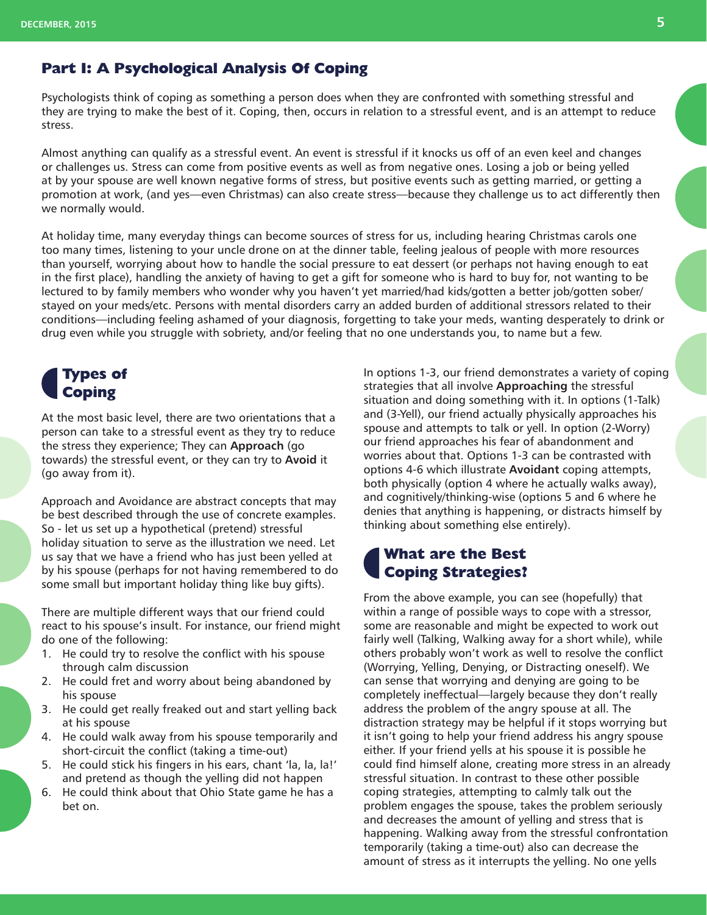## **Part I: A Psychological Analysis Of Coping**

Psychologists think of coping as something a person does when they are confronted with something stressful and they are trying to make the best of it. Coping, then, occurs in relation to a stressful event, and is an attempt to reduce stress.

Almost anything can qualify as a stressful event. An event is stressful if it knocks us off of an even keel and changes or challenges us. Stress can come from positive events as well as from negative ones. Losing a job or being yelled at by your spouse are well known negative forms of stress, but positive events such as getting married, or getting a promotion at work, (and yes—even Christmas) can also create stress—because they challenge us to act differently then we normally would.

At holiday time, many everyday things can become sources of stress for us, including hearing Christmas carols one too many times, listening to your uncle drone on at the dinner table, feeling jealous of people with more resources than yourself, worrying about how to handle the social pressure to eat dessert (or perhaps not having enough to eat in the first place), handling the anxiety of having to get a gift for someone who is hard to buy for, not wanting to be lectured to by family members who wonder why you haven't yet married/had kids/gotten a better job/gotten sober/ stayed on your meds/etc. Persons with mental disorders carry an added burden of additional stressors related to their conditions—including feeling ashamed of your diagnosis, forgetting to take your meds, wanting desperately to drink or drug even while you struggle with sobriety, and/or feeling that no one understands you, to name but a few.

# **Types of Coping**

At the most basic level, there are two orientations that a person can take to a stressful event as they try to reduce the stress they experience; They can **Approach** (go towards) the stressful event, or they can try to **Avoid** it (go away from it).

Approach and Avoidance are abstract concepts that may be best described through the use of concrete examples. So - let us set up a hypothetical (pretend) stressful holiday situation to serve as the illustration we need. Let us say that we have a friend who has just been yelled at by his spouse (perhaps for not having remembered to do some small but important holiday thing like buy gifts).

There are multiple different ways that our friend could react to his spouse's insult. For instance, our friend might do one of the following:

- 1. He could try to resolve the conflict with his spouse through calm discussion
- 2. He could fret and worry about being abandoned by his spouse
- 3. He could get really freaked out and start yelling back at his spouse
- 4. He could walk away from his spouse temporarily and short-circuit the conflict (taking a time-out)
- 5. He could stick his fingers in his ears, chant 'la, la, la!' and pretend as though the yelling did not happen
- 6. He could think about that Ohio State game he has a bet on.

In options 1-3, our friend demonstrates a variety of coping strategies that all involve **Approaching** the stressful situation and doing something with it. In options (1-Talk) and (3-Yell), our friend actually physically approaches his spouse and attempts to talk or yell. In option (2-Worry) our friend approaches his fear of abandonment and worries about that. Options 1-3 can be contrasted with options 4-6 which illustrate **Avoidant** coping attempts, both physically (option 4 where he actually walks away), and cognitively/thinking-wise (options 5 and 6 where he denies that anything is happening, or distracts himself by thinking about something else entirely).

# **What are the Best Coping Strategies?**

From the above example, you can see (hopefully) that within a range of possible ways to cope with a stressor, some are reasonable and might be expected to work out fairly well (Talking, Walking away for a short while), while others probably won't work as well to resolve the conflict (Worrying, Yelling, Denying, or Distracting oneself). We can sense that worrying and denying are going to be completely ineffectual—largely because they don't really address the problem of the angry spouse at all. The distraction strategy may be helpful if it stops worrying but it isn't going to help your friend address his angry spouse either. If your friend yells at his spouse it is possible he could find himself alone, creating more stress in an already stressful situation. In contrast to these other possible coping strategies, attempting to calmly talk out the problem engages the spouse, takes the problem seriously and decreases the amount of yelling and stress that is happening. Walking away from the stressful confrontation temporarily (taking a time-out) also can decrease the amount of stress as it interrupts the yelling. No one yells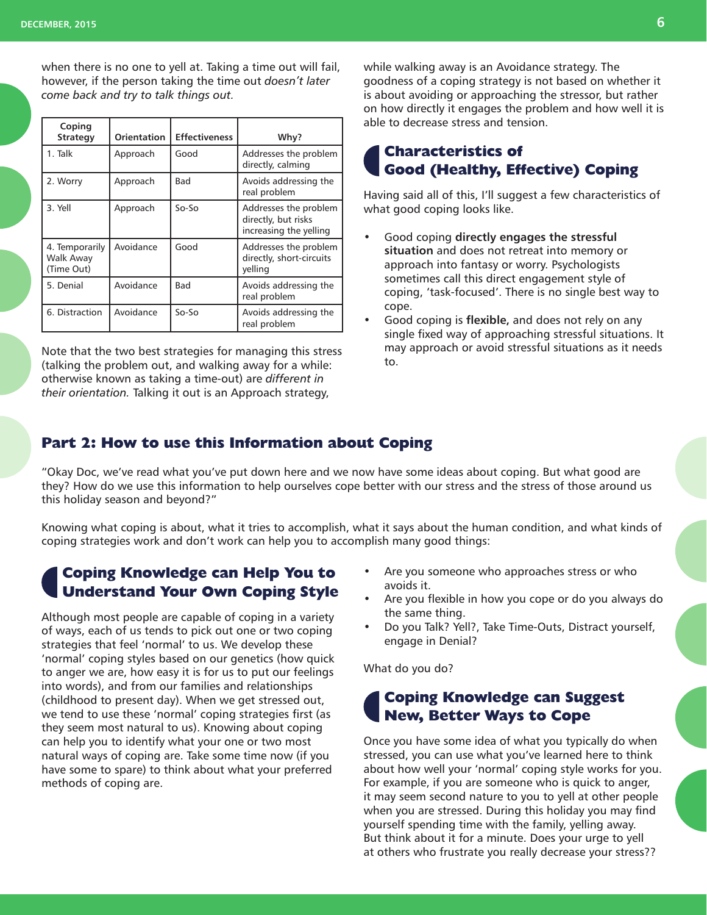when there is no one to yell at. Taking a time out will fail, however, if the person taking the time out *doesn't later come back and try to talk things out.*

| Coping<br><b>Strategy</b>                 | Orientation | <b>Effectiveness</b> | Why?                                                                   |
|-------------------------------------------|-------------|----------------------|------------------------------------------------------------------------|
| 1. Talk                                   | Approach    | Good                 | Addresses the problem<br>directly, calming                             |
| 2. Worry                                  | Approach    | Bad                  | Avoids addressing the<br>real problem                                  |
| 3. Yell                                   | Approach    | $So-So$              | Addresses the problem<br>directly, but risks<br>increasing the yelling |
| 4. Temporarily<br>Walk Away<br>(Time Out) | Avoidance   | Good                 | Addresses the problem<br>directly, short-circuits<br>velling           |
| 5. Denial                                 | Avoidance   | Bad                  | Avoids addressing the<br>real problem                                  |
| 6. Distraction                            | Avoidance   | $So-So$              | Avoids addressing the<br>real problem                                  |

Note that the two best strategies for managing this stress (talking the problem out, and walking away for a while: otherwise known as taking a time-out) are *different in their orientation.* Talking it out is an Approach strategy,

while walking away is an Avoidance strategy. The goodness of a coping strategy is not based on whether it is about avoiding or approaching the stressor, but rather on how directly it engages the problem and how well it is able to decrease stress and tension.

## **Characteristics of Good (Healthy, Effective) Coping**

Having said all of this, I'll suggest a few characteristics of what good coping looks like.

- Good coping **directly engages the stressful situation** and does not retreat into memory or approach into fantasy or worry. Psychologists sometimes call this direct engagement style of coping, 'task-focused'. There is no single best way to cope.
- Good coping is **flexible,** and does not rely on any single fixed way of approaching stressful situations. It may approach or avoid stressful situations as it needs to.

## **Part 2: How to use this Information about Coping**

"Okay Doc, we've read what you've put down here and we now have some ideas about coping. But what good are they? How do we use this information to help ourselves cope better with our stress and the stress of those around us this holiday season and beyond?"

Knowing what coping is about, what it tries to accomplish, what it says about the human condition, and what kinds of coping strategies work and don't work can help you to accomplish many good things:

## **Coping Knowledge can Help You to Understand Your Own Coping Style**

Although most people are capable of coping in a variety of ways, each of us tends to pick out one or two coping strategies that feel 'normal' to us. We develop these 'normal' coping styles based on our genetics (how quick to anger we are, how easy it is for us to put our feelings into words), and from our families and relationships (childhood to present day). When we get stressed out, we tend to use these 'normal' coping strategies first (as they seem most natural to us). Knowing about coping can help you to identify what your one or two most natural ways of coping are. Take some time now (if you have some to spare) to think about what your preferred methods of coping are.

- Are you someone who approaches stress or who avoids it.
- Are you flexible in how you cope or do you always do the same thing.
- Do you Talk? Yell?, Take Time-Outs, Distract yourself, engage in Denial?

What do you do?

## **Coping Knowledge can Suggest New, Better Ways to Cope**

Once you have some idea of what you typically do when stressed, you can use what you've learned here to think about how well your 'normal' coping style works for you. For example, if you are someone who is quick to anger, it may seem second nature to you to yell at other people when you are stressed. During this holiday you may find yourself spending time with the family, yelling away. But think about it for a minute. Does your urge to yell at others who frustrate you really decrease your stress??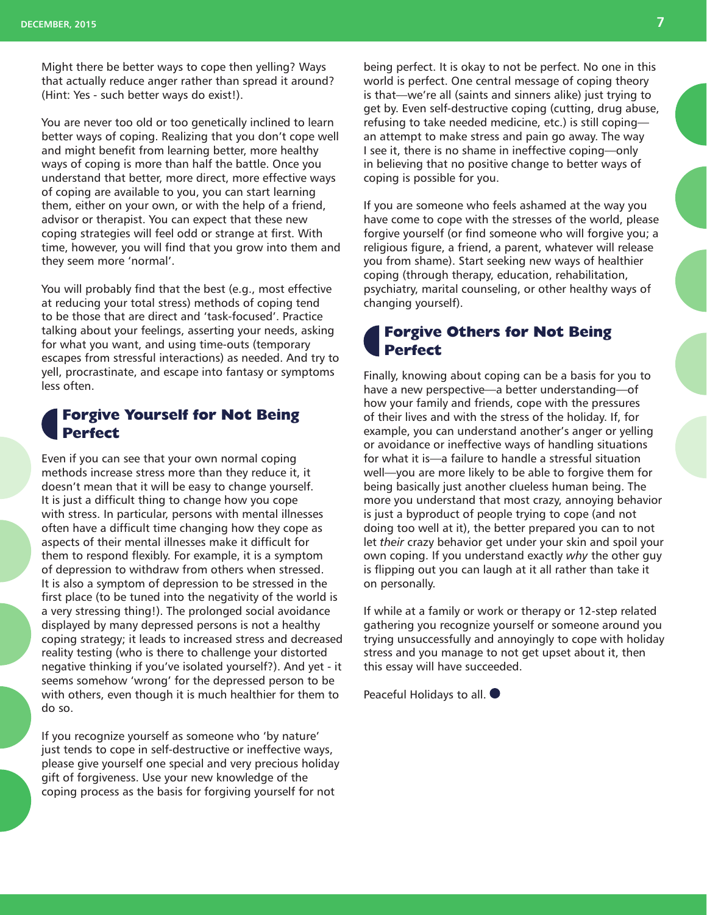Might there be better ways to cope then yelling? Ways that actually reduce anger rather than spread it around? (Hint: Yes - such better ways do exist!).

You are never too old or too genetically inclined to learn better ways of coping. Realizing that you don't cope well and might benefit from learning better, more healthy ways of coping is more than half the battle. Once you understand that better, more direct, more effective ways of coping are available to you, you can start learning them, either on your own, or with the help of a friend, advisor or therapist. You can expect that these new coping strategies will feel odd or strange at first. With time, however, you will find that you grow into them and they seem more 'normal'.

You will probably find that the best (e.g., most effective at reducing your total stress) methods of coping tend to be those that are direct and 'task-focused'. Practice talking about your feelings, asserting your needs, asking for what you want, and using time-outs (temporary escapes from stressful interactions) as needed. And try to yell, procrastinate, and escape into fantasy or symptoms less often.

## **Forgive Yourself for Not Being Perfect**

Even if you can see that your own normal coping methods increase stress more than they reduce it, it doesn't mean that it will be easy to change yourself. It is just a difficult thing to change how you cope with stress. In particular, persons with mental illnesses often have a difficult time changing how they cope as aspects of their mental illnesses make it difficult for them to respond flexibly. For example, it is a symptom of depression to withdraw from others when stressed. It is also a symptom of depression to be stressed in the first place (to be tuned into the negativity of the world is a very stressing thing!). The prolonged social avoidance displayed by many depressed persons is not a healthy coping strategy; it leads to increased stress and decreased reality testing (who is there to challenge your distorted negative thinking if you've isolated yourself?). And yet - it seems somehow 'wrong' for the depressed person to be with others, even though it is much healthier for them to do so.

If you recognize yourself as someone who 'by nature' just tends to cope in self-destructive or ineffective ways, please give yourself one special and very precious holiday gift of forgiveness. Use your new knowledge of the coping process as the basis for forgiving yourself for not

being perfect. It is okay to not be perfect. No one in this world is perfect. One central message of coping theory is that—we're all (saints and sinners alike) just trying to get by. Even self-destructive coping (cutting, drug abuse, refusing to take needed medicine, etc.) is still coping an attempt to make stress and pain go away. The way I see it, there is no shame in ineffective coping—only in believing that no positive change to better ways of coping is possible for you.

If you are someone who feels ashamed at the way you have come to cope with the stresses of the world, please forgive yourself (or find someone who will forgive you; a religious figure, a friend, a parent, whatever will release you from shame). Start seeking new ways of healthier coping (through therapy, education, rehabilitation, psychiatry, marital counseling, or other healthy ways of changing yourself).

## **Forgive Others for Not Being Perfect**

Finally, knowing about coping can be a basis for you to have a new perspective—a better understanding—of how your family and friends, cope with the pressures of their lives and with the stress of the holiday. If, for example, you can understand another's anger or yelling or avoidance or ineffective ways of handling situations for what it is—a failure to handle a stressful situation well—you are more likely to be able to forgive them for being basically just another clueless human being. The more you understand that most crazy, annoying behavior is just a byproduct of people trying to cope (and not doing too well at it), the better prepared you can to not let *their* crazy behavior get under your skin and spoil your own coping. If you understand exactly *why* the other guy is flipping out you can laugh at it all rather than take it on personally.

If while at a family or work or therapy or 12-step related gathering you recognize yourself or someone around you trying unsuccessfully and annoyingly to cope with holiday stress and you manage to not get upset about it, then this essay will have succeeded.

Peaceful Holidays to all.